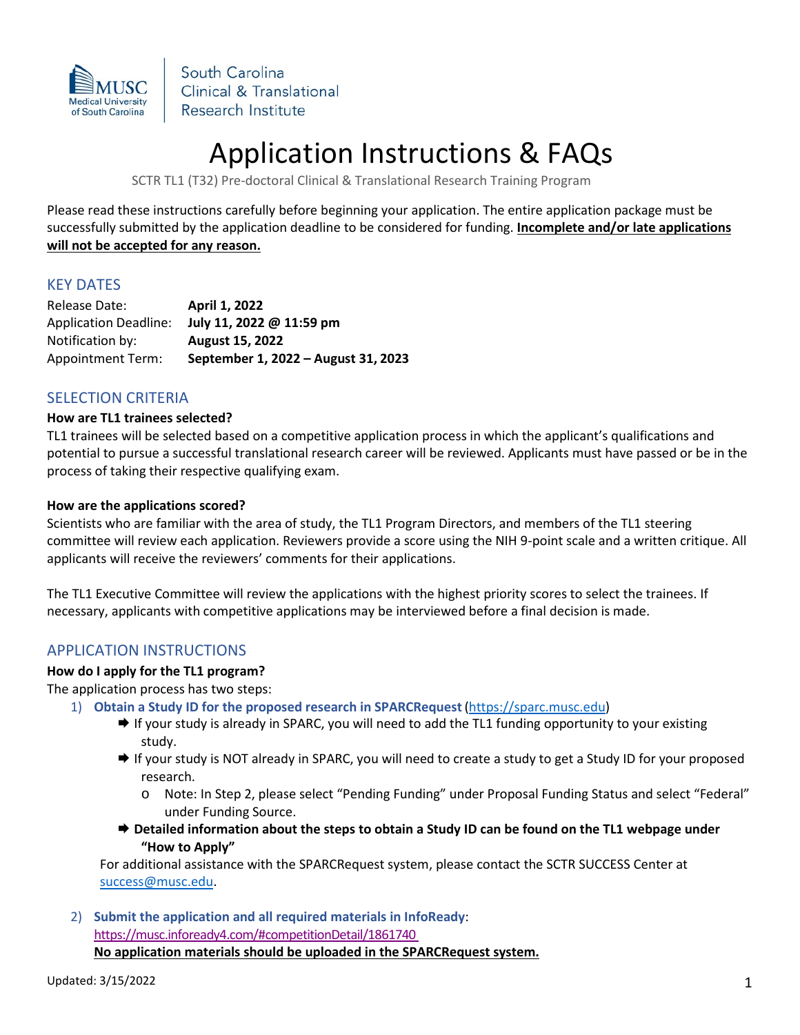

South Carolina Clinical & Translational Research Institute

# Application Instructions & FAQs

SCTR TL1 (T32) Pre-doctoral Clinical & Translational Research Training Program

Please read these instructions carefully before beginning your application. The entire application package must be successfully submitted by the application deadline to be considered for funding. **Incomplete and/or late applications will not be accepted for any reason.**

## KEY DATES

Release Date: **April 1, 2022** Application Deadline: **July 11, 2022 @ 11:59 pm** Notification by: **August 15, 2022** Appointment Term: **September 1, 2022 – August 31, 2023**

## SELECTION CRITERIA

### **How are TL1 trainees selected?**

TL1 trainees will be selected based on a competitive application process in which the applicant's qualifications and potential to pursue a successful translational research career will be reviewed. Applicants must have passed or be in the process of taking their respective qualifying exam.

### **How are the applications scored?**

Scientists who are familiar with the area of study, the TL1 Program Directors, and members of the TL1 steering committee will review each application. Reviewers provide a score using the NIH 9-point scale and a written critique. All applicants will receive the reviewers' comments for their applications.

The TL1 Executive Committee will review the applications with the highest priority scores to select the trainees. If necessary, applicants with competitive applications may be interviewed before a final decision is made.

# APPLICATION INSTRUCTIONS

## **How do I apply for the TL1 program?**

The application process has two steps:

- 1) **Obtain a Study ID for the proposed research in SPARCRequest**[\(https://sparc.musc.edu\)](https://sparc.musc.edu/)
	- → If your study is already in SPARC, you will need to add the TL1 funding opportunity to your existing study.
	- → If your study is NOT already in SPARC, you will need to create a study to get a Study ID for your proposed research.
		- o Note: In Step 2, please select "Pending Funding" under Proposal Funding Status and select "Federal" under Funding Source.
	- $\rightarrow$  **Detailed information about the steps to obtain a Study ID can be found on the TL1 webpage under "How to Apply"**

For additional assistance with the SPARCRequest system, please contact the SCTR SUCCESS Center at [success@musc.edu.](mailto:success@musc.edu)

2) **Submit the application and all required materials in InfoReady**: <https://musc.infoready4.com/#competitionDetail/1861740> **No application materials should be uploaded in the SPARCRequest system.**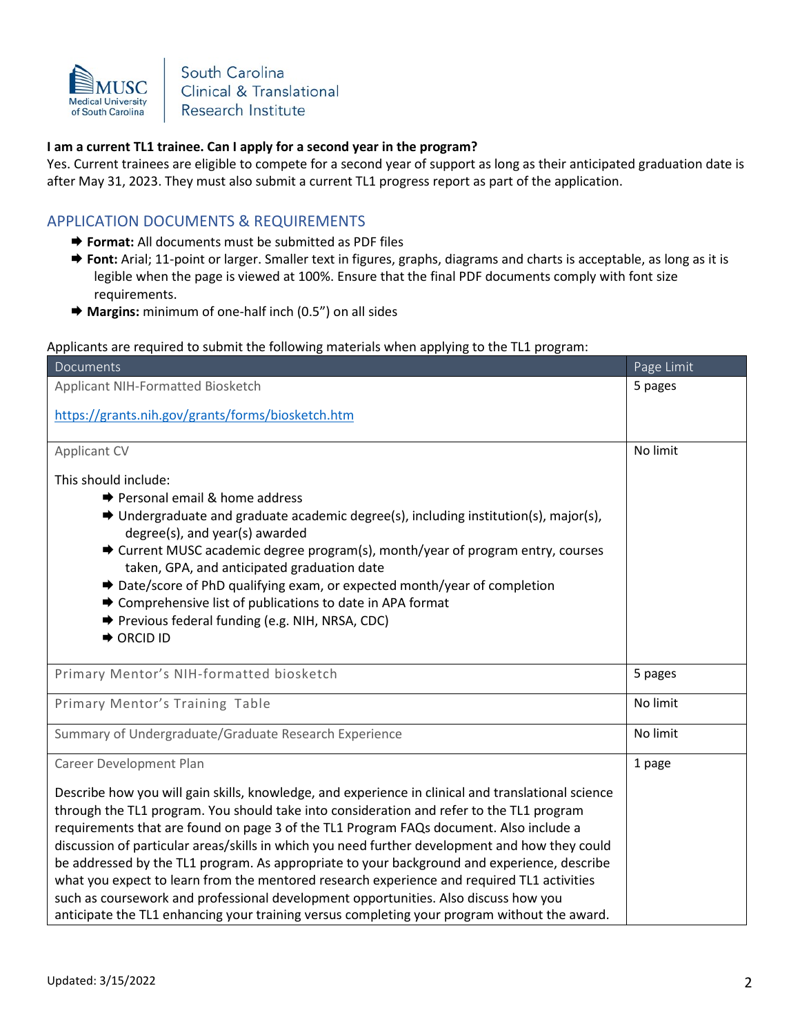

South Carolina Clinical & Translational Research Institute

## **I am a current TL1 trainee. Can I apply for a second year in the program?**

Yes. Current trainees are eligible to compete for a second year of support as long as their anticipated graduation date is after May 31, 2023. They must also submit a current TL1 progress report as part of the application.

# APPLICATION DOCUMENTS & REQUIREMENTS

- $\rightarrow$  **Format:** All documents must be submitted as PDF files
- $\rightarrow$  **Font:** Arial; 11-point or larger. Smaller text in figures, graphs, diagrams and charts is acceptable, as long as it is legible when the page is viewed at 100%. Ensure that the final PDF documents comply with font size requirements.
- **Margins:** minimum of one-half inch (0.5") on all sides

### Applicants are required to submit the following materials when applying to the TL1 program:

| Documents                                                                                                                                                                                                                                                                                                                                                                                                                                                                                                                                                                                                                                                                                                                                                                      | Page Limit |
|--------------------------------------------------------------------------------------------------------------------------------------------------------------------------------------------------------------------------------------------------------------------------------------------------------------------------------------------------------------------------------------------------------------------------------------------------------------------------------------------------------------------------------------------------------------------------------------------------------------------------------------------------------------------------------------------------------------------------------------------------------------------------------|------------|
| Applicant NIH-Formatted Biosketch                                                                                                                                                                                                                                                                                                                                                                                                                                                                                                                                                                                                                                                                                                                                              | 5 pages    |
| https://grants.nih.gov/grants/forms/biosketch.htm                                                                                                                                                                                                                                                                                                                                                                                                                                                                                                                                                                                                                                                                                                                              |            |
| <b>Applicant CV</b>                                                                                                                                                                                                                                                                                                                                                                                                                                                                                                                                                                                                                                                                                                                                                            | No limit   |
| This should include:                                                                                                                                                                                                                                                                                                                                                                                                                                                                                                                                                                                                                                                                                                                                                           |            |
| <b>→</b> Personal email & home address<br>→ Undergraduate and graduate academic degree(s), including institution(s), major(s),<br>degree(s), and year(s) awarded<br>$\rightarrow$ Current MUSC academic degree program(s), month/year of program entry, courses<br>taken, GPA, and anticipated graduation date<br>→ Date/score of PhD qualifying exam, or expected month/year of completion<br>→ Comprehensive list of publications to date in APA format<br>→ Previous federal funding (e.g. NIH, NRSA, CDC)<br><b>→ ORCID ID</b>                                                                                                                                                                                                                                             |            |
| Primary Mentor's NIH-formatted biosketch                                                                                                                                                                                                                                                                                                                                                                                                                                                                                                                                                                                                                                                                                                                                       | 5 pages    |
| Primary Mentor's Training Table                                                                                                                                                                                                                                                                                                                                                                                                                                                                                                                                                                                                                                                                                                                                                | No limit   |
| Summary of Undergraduate/Graduate Research Experience                                                                                                                                                                                                                                                                                                                                                                                                                                                                                                                                                                                                                                                                                                                          | No limit   |
| Career Development Plan                                                                                                                                                                                                                                                                                                                                                                                                                                                                                                                                                                                                                                                                                                                                                        | 1 page     |
| Describe how you will gain skills, knowledge, and experience in clinical and translational science<br>through the TL1 program. You should take into consideration and refer to the TL1 program<br>requirements that are found on page 3 of the TL1 Program FAQs document. Also include a<br>discussion of particular areas/skills in which you need further development and how they could<br>be addressed by the TL1 program. As appropriate to your background and experience, describe<br>what you expect to learn from the mentored research experience and required TL1 activities<br>such as coursework and professional development opportunities. Also discuss how you<br>anticipate the TL1 enhancing your training versus completing your program without the award. |            |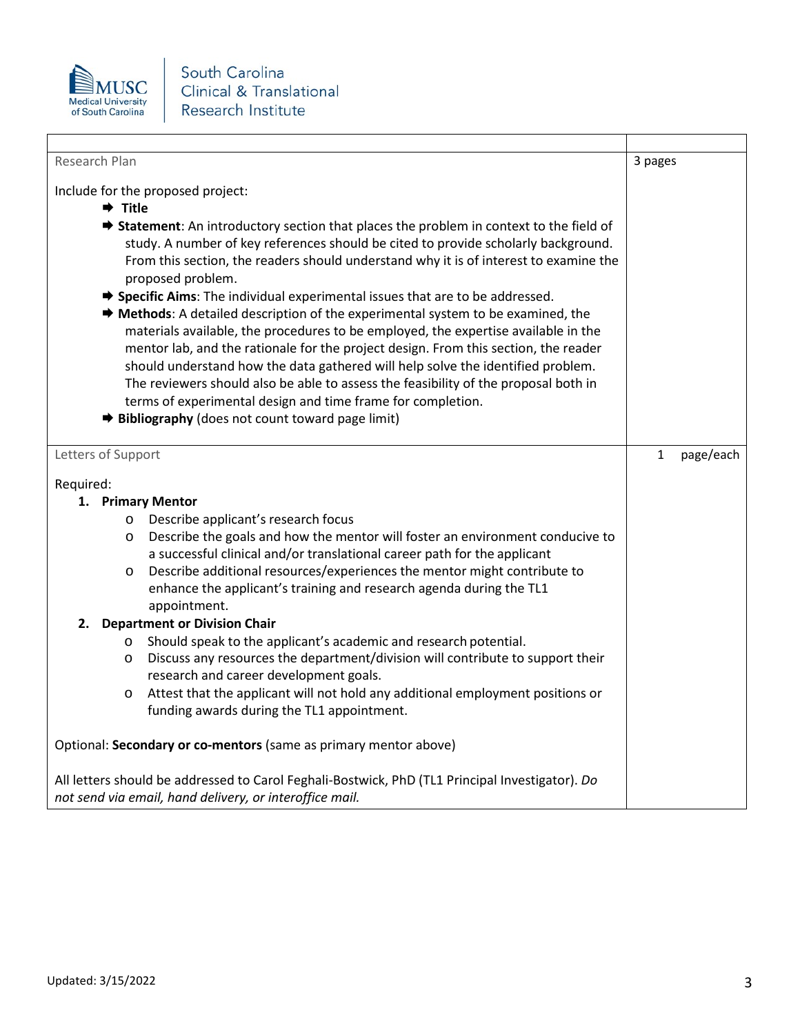

| Research Plan                                                                                                                                                                                                                                                                                                                                                                                                                                                                                                                                                                                                                                                                                                                                                                                                                                                                                                                                             | 3 pages                   |
|-----------------------------------------------------------------------------------------------------------------------------------------------------------------------------------------------------------------------------------------------------------------------------------------------------------------------------------------------------------------------------------------------------------------------------------------------------------------------------------------------------------------------------------------------------------------------------------------------------------------------------------------------------------------------------------------------------------------------------------------------------------------------------------------------------------------------------------------------------------------------------------------------------------------------------------------------------------|---------------------------|
| Include for the proposed project:                                                                                                                                                                                                                                                                                                                                                                                                                                                                                                                                                                                                                                                                                                                                                                                                                                                                                                                         |                           |
| $\rightarrow$ Title                                                                                                                                                                                                                                                                                                                                                                                                                                                                                                                                                                                                                                                                                                                                                                                                                                                                                                                                       |                           |
| <b>→ Statement:</b> An introductory section that places the problem in context to the field of<br>study. A number of key references should be cited to provide scholarly background.<br>From this section, the readers should understand why it is of interest to examine the<br>proposed problem.<br>→ Specific Aims: The individual experimental issues that are to be addressed.<br>→ Methods: A detailed description of the experimental system to be examined, the<br>materials available, the procedures to be employed, the expertise available in the<br>mentor lab, and the rationale for the project design. From this section, the reader<br>should understand how the data gathered will help solve the identified problem.<br>The reviewers should also be able to assess the feasibility of the proposal both in<br>terms of experimental design and time frame for completion.<br><b>→ Bibliography</b> (does not count toward page limit) |                           |
| Letters of Support                                                                                                                                                                                                                                                                                                                                                                                                                                                                                                                                                                                                                                                                                                                                                                                                                                                                                                                                        | page/each<br>$\mathbf{1}$ |
| Required:                                                                                                                                                                                                                                                                                                                                                                                                                                                                                                                                                                                                                                                                                                                                                                                                                                                                                                                                                 |                           |
| 1. Primary Mentor                                                                                                                                                                                                                                                                                                                                                                                                                                                                                                                                                                                                                                                                                                                                                                                                                                                                                                                                         |                           |
| Describe applicant's research focus<br>$\circ$                                                                                                                                                                                                                                                                                                                                                                                                                                                                                                                                                                                                                                                                                                                                                                                                                                                                                                            |                           |
| Describe the goals and how the mentor will foster an environment conducive to<br>$\circ$                                                                                                                                                                                                                                                                                                                                                                                                                                                                                                                                                                                                                                                                                                                                                                                                                                                                  |                           |
| a successful clinical and/or translational career path for the applicant                                                                                                                                                                                                                                                                                                                                                                                                                                                                                                                                                                                                                                                                                                                                                                                                                                                                                  |                           |
| Describe additional resources/experiences the mentor might contribute to<br>O<br>enhance the applicant's training and research agenda during the TL1<br>appointment.                                                                                                                                                                                                                                                                                                                                                                                                                                                                                                                                                                                                                                                                                                                                                                                      |                           |
| <b>Department or Division Chair</b><br>2.                                                                                                                                                                                                                                                                                                                                                                                                                                                                                                                                                                                                                                                                                                                                                                                                                                                                                                                 |                           |
| Should speak to the applicant's academic and research potential.<br>$\circ$                                                                                                                                                                                                                                                                                                                                                                                                                                                                                                                                                                                                                                                                                                                                                                                                                                                                               |                           |
| Discuss any resources the department/division will contribute to support their<br>O<br>research and career development goals.                                                                                                                                                                                                                                                                                                                                                                                                                                                                                                                                                                                                                                                                                                                                                                                                                             |                           |
| Attest that the applicant will not hold any additional employment positions or<br>O<br>funding awards during the TL1 appointment.                                                                                                                                                                                                                                                                                                                                                                                                                                                                                                                                                                                                                                                                                                                                                                                                                         |                           |
| Optional: Secondary or co-mentors (same as primary mentor above)                                                                                                                                                                                                                                                                                                                                                                                                                                                                                                                                                                                                                                                                                                                                                                                                                                                                                          |                           |
| All letters should be addressed to Carol Feghali-Bostwick, PhD (TL1 Principal Investigator). Do<br>not send via email, hand delivery, or interoffice mail.                                                                                                                                                                                                                                                                                                                                                                                                                                                                                                                                                                                                                                                                                                                                                                                                |                           |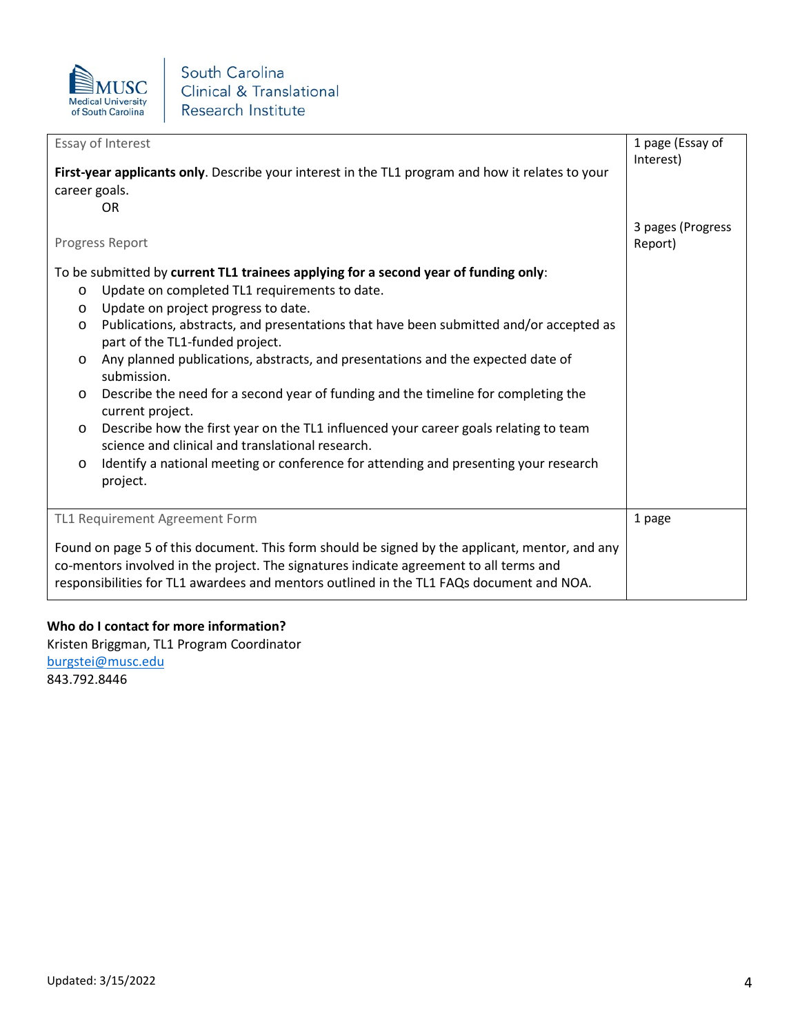

| Essay of Interest                                                                                                                                                                                                                                                                                                                                                                                                                                                                                                                                                                                                                                                                                                                                                                                                                                 | 1 page (Essay of             |
|---------------------------------------------------------------------------------------------------------------------------------------------------------------------------------------------------------------------------------------------------------------------------------------------------------------------------------------------------------------------------------------------------------------------------------------------------------------------------------------------------------------------------------------------------------------------------------------------------------------------------------------------------------------------------------------------------------------------------------------------------------------------------------------------------------------------------------------------------|------------------------------|
| First-year applicants only. Describe your interest in the TL1 program and how it relates to your<br>career goals.<br>0R                                                                                                                                                                                                                                                                                                                                                                                                                                                                                                                                                                                                                                                                                                                           | Interest)                    |
| Progress Report                                                                                                                                                                                                                                                                                                                                                                                                                                                                                                                                                                                                                                                                                                                                                                                                                                   | 3 pages (Progress<br>Report) |
| To be submitted by current TL1 trainees applying for a second year of funding only:<br>Update on completed TL1 requirements to date.<br>$\circ$<br>Update on project progress to date.<br>$\circ$<br>Publications, abstracts, and presentations that have been submitted and/or accepted as<br>$\circ$<br>part of the TL1-funded project.<br>Any planned publications, abstracts, and presentations and the expected date of<br>$\circ$<br>submission.<br>Describe the need for a second year of funding and the timeline for completing the<br>$\circ$<br>current project.<br>Describe how the first year on the TL1 influenced your career goals relating to team<br>$\circ$<br>science and clinical and translational research.<br>Identify a national meeting or conference for attending and presenting your research<br>$\circ$<br>project. |                              |
| TL1 Requirement Agreement Form                                                                                                                                                                                                                                                                                                                                                                                                                                                                                                                                                                                                                                                                                                                                                                                                                    | 1 page                       |
| Found on page 5 of this document. This form should be signed by the applicant, mentor, and any<br>co-mentors involved in the project. The signatures indicate agreement to all terms and<br>responsibilities for TL1 awardees and mentors outlined in the TL1 FAQs document and NOA.                                                                                                                                                                                                                                                                                                                                                                                                                                                                                                                                                              |                              |

## **Who do I contact for more information?**

Kristen Briggman, TL1 Program Coordinator [burgstei@musc.edu](mailto:burgstei@musc.edu) 843.792.8446